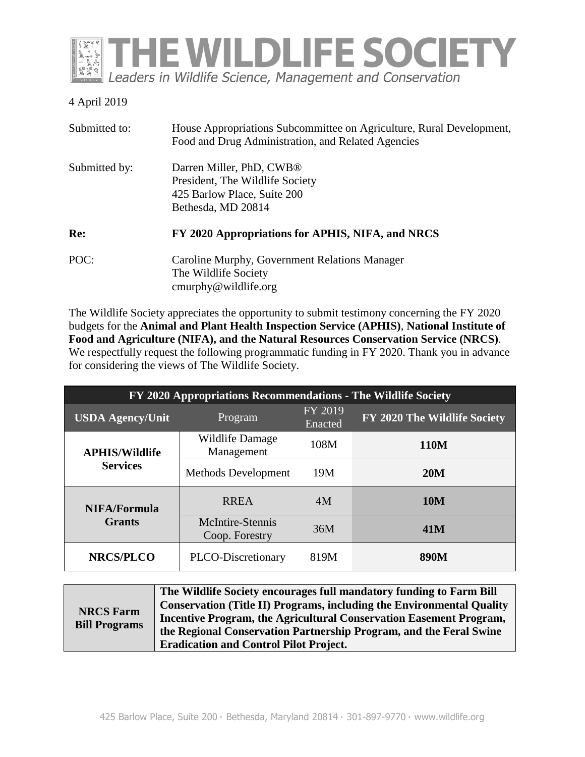

## 4 April 2019

| Submitted to: | House Appropriations Subcommittee on Agriculture, Rural Development,<br>Food and Drug Administration, and Related Agencies   |
|---------------|------------------------------------------------------------------------------------------------------------------------------|
| Submitted by: | Darren Miller, PhD, CWB <sup>®</sup><br>President, The Wildlife Society<br>425 Barlow Place, Suite 200<br>Bethesda, MD 20814 |
| Re:           | FY 2020 Appropriations for APHIS, NIFA, and NRCS                                                                             |
| POC:          | Caroline Murphy, Government Relations Manager<br>The Wildlife Society<br>$\text{cmurphy@wildlife.org}$                       |

The Wildlife Society appreciates the opportunity to submit testimony concerning the FY 2020 budgets for the **Animal and Plant Health Inspection Service (APHIS)**, **National Institute of Food and Agriculture (NIFA), and the Natural Resources Conservation Service (NRCS)**. We respectfully request the following programmatic funding in FY 2020. Thank you in advance for considering the views of The Wildlife Society.

| FY 2020 Appropriations Recommendations - The Wildlife Society |                                    |                    |                              |
|---------------------------------------------------------------|------------------------------------|--------------------|------------------------------|
| <b>USDA Agency/Unit</b>                                       | Program                            | FY 2019<br>Enacted | FY 2020 The Wildlife Society |
| <b>APHIS/Wildlife</b>                                         | Wildlife Damage<br>Management      | 108M               | 110M                         |
| <b>Services</b>                                               | Methods Development                | 19M                | <b>20M</b>                   |
| <b>NIFA/Formula</b>                                           | <b>RREA</b>                        | 4M                 | <b>10M</b>                   |
| <b>Grants</b>                                                 | McIntire-Stennis<br>Coop. Forestry | 36M                | 41M                          |
| <b>NRCS/PLCO</b>                                              | PLCO-Discretionary                 | 819M               | <b>890M</b>                  |

| <b>NRCS Farm</b><br><b>Bill Programs</b> | The Wildlife Society encourages full mandatory funding to Farm Bill          |
|------------------------------------------|------------------------------------------------------------------------------|
|                                          | <b>Conservation (Title II) Programs, including the Environmental Quality</b> |
|                                          | <b>Incentive Program, the Agricultural Conservation Easement Program,</b>    |
|                                          | the Regional Conservation Partnership Program, and the Feral Swine           |
|                                          | <b>Eradication and Control Pilot Project.</b>                                |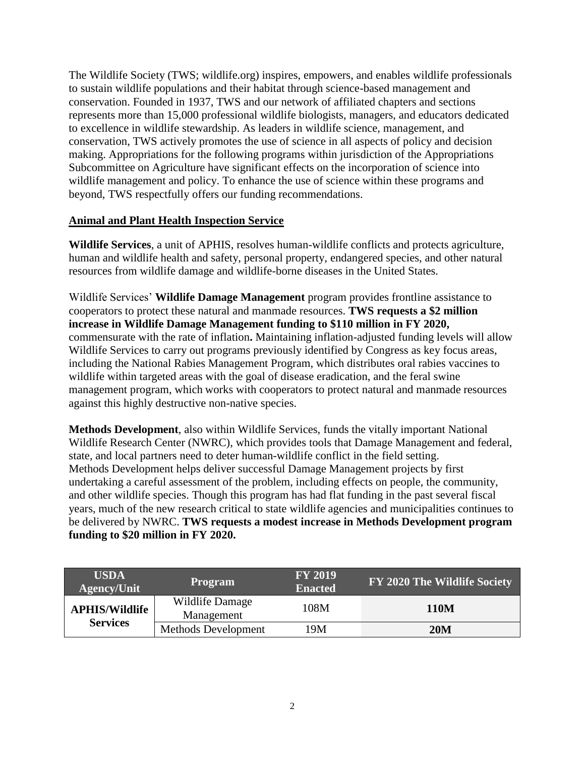The Wildlife Society (TWS; wildlife.org) inspires, empowers, and enables wildlife professionals to sustain wildlife populations and their habitat through science-based management and conservation. Founded in 1937, TWS and our network of affiliated chapters and sections represents more than 15,000 professional wildlife biologists, managers, and educators dedicated to excellence in wildlife stewardship. As leaders in wildlife science, management, and conservation, TWS actively promotes the use of science in all aspects of policy and decision making. Appropriations for the following programs within jurisdiction of the Appropriations Subcommittee on Agriculture have significant effects on the incorporation of science into wildlife management and policy. To enhance the use of science within these programs and beyond, TWS respectfully offers our funding recommendations.

## **Animal and Plant Health Inspection Service**

**Wildlife Services**, a unit of APHIS, resolves human-wildlife conflicts and protects agriculture, human and wildlife health and safety, personal property, endangered species, and other natural resources from wildlife damage and wildlife-borne diseases in the United States.

Wildlife Services' **Wildlife Damage Management** program provides frontline assistance to cooperators to protect these natural and manmade resources. **TWS requests a \$2 million increase in Wildlife Damage Management funding to \$110 million in FY 2020,** commensurate with the rate of inflation**.** Maintaining inflation-adjusted funding levels will allow Wildlife Services to carry out programs previously identified by Congress as key focus areas, including the National Rabies Management Program, which distributes oral rabies vaccines to wildlife within targeted areas with the goal of disease eradication, and the feral swine management program, which works with cooperators to protect natural and manmade resources against this highly destructive non-native species.

**Methods Development**, also within Wildlife Services, funds the vitally important National Wildlife Research Center (NWRC), which provides tools that Damage Management and federal, state, and local partners need to deter human-wildlife conflict in the field setting. Methods Development helps deliver successful Damage Management projects by first undertaking a careful assessment of the problem, including effects on people, the community, and other wildlife species. Though this program has had flat funding in the past several fiscal years, much of the new research critical to state wildlife agencies and municipalities continues to be delivered by NWRC. **TWS requests a modest increase in Methods Development program funding to \$20 million in FY 2020.**

| <b>USDA</b><br><b>Agency/Unit</b>        | <b>Program</b>                | <b>FY 2019</b><br><b>Enacted</b> | FY 2020 The Wildlife Society |
|------------------------------------------|-------------------------------|----------------------------------|------------------------------|
| <b>APHIS/Wildlife</b><br><b>Services</b> | Wildlife Damage<br>Management | 108M                             | 110M                         |
|                                          | Methods Development           | 19M                              | 20M                          |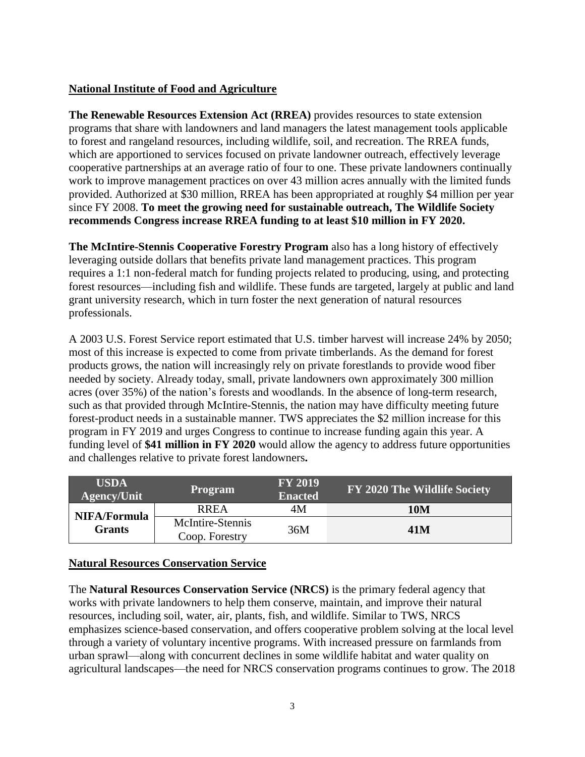## **National Institute of Food and Agriculture**

**The Renewable Resources Extension Act (RREA)** provides resources to state extension programs that share with landowners and land managers the latest management tools applicable to forest and rangeland resources, including wildlife, soil, and recreation. The RREA funds, which are apportioned to services focused on private landowner outreach, effectively leverage cooperative partnerships at an average ratio of four to one. These private landowners continually work to improve management practices on over 43 million acres annually with the limited funds provided. Authorized at \$30 million, RREA has been appropriated at roughly \$4 million per year since FY 2008. **To meet the growing need for sustainable outreach, The Wildlife Society recommends Congress increase RREA funding to at least \$10 million in FY 2020.**

**The McIntire-Stennis Cooperative Forestry Program** also has a long history of effectively leveraging outside dollars that benefits private land management practices. This program requires a 1:1 non-federal match for funding projects related to producing, using, and protecting forest resources—including fish and wildlife. These funds are targeted, largely at public and land grant university research, which in turn foster the next generation of natural resources professionals.

A 2003 U.S. Forest Service report estimated that U.S. timber harvest will increase 24% by 2050; most of this increase is expected to come from private timberlands. As the demand for forest products grows, the nation will increasingly rely on private forestlands to provide wood fiber needed by society. Already today, small, private landowners own approximately 300 million acres (over 35%) of the nation's forests and woodlands. In the absence of long-term research, such as that provided through McIntire-Stennis, the nation may have difficulty meeting future forest-product needs in a sustainable manner. TWS appreciates the \$2 million increase for this program in FY 2019 and urges Congress to continue to increase funding again this year. A funding level of **\$41 million in FY 2020** would allow the agency to address future opportunities and challenges relative to private forest landowners**.**

| <b>USDA</b><br><b>Agency/Unit</b> | <b>Program</b>                     | <b>FY 2019</b><br><b>Enacted</b> | FY 2020 The Wildlife Society |
|-----------------------------------|------------------------------------|----------------------------------|------------------------------|
| NIFA/Formula<br><b>Grants</b>     | <b>RREA</b>                        | 4M                               | 10M                          |
|                                   | McIntire-Stennis<br>Coop. Forestry | 36M                              | 41M                          |

## **Natural Resources Conservation Service**

The **Natural Resources Conservation Service (NRCS)** is the primary federal agency that works with private landowners to help them conserve, maintain, and improve their natural resources, including soil, water, air, plants, fish, and wildlife. Similar to TWS, NRCS emphasizes science-based conservation, and offers cooperative problem solving at the local level through a variety of voluntary incentive programs. With increased pressure on farmlands from urban sprawl—along with concurrent declines in some wildlife habitat and water quality on agricultural landscapes—the need for NRCS conservation programs continues to grow. The 2018